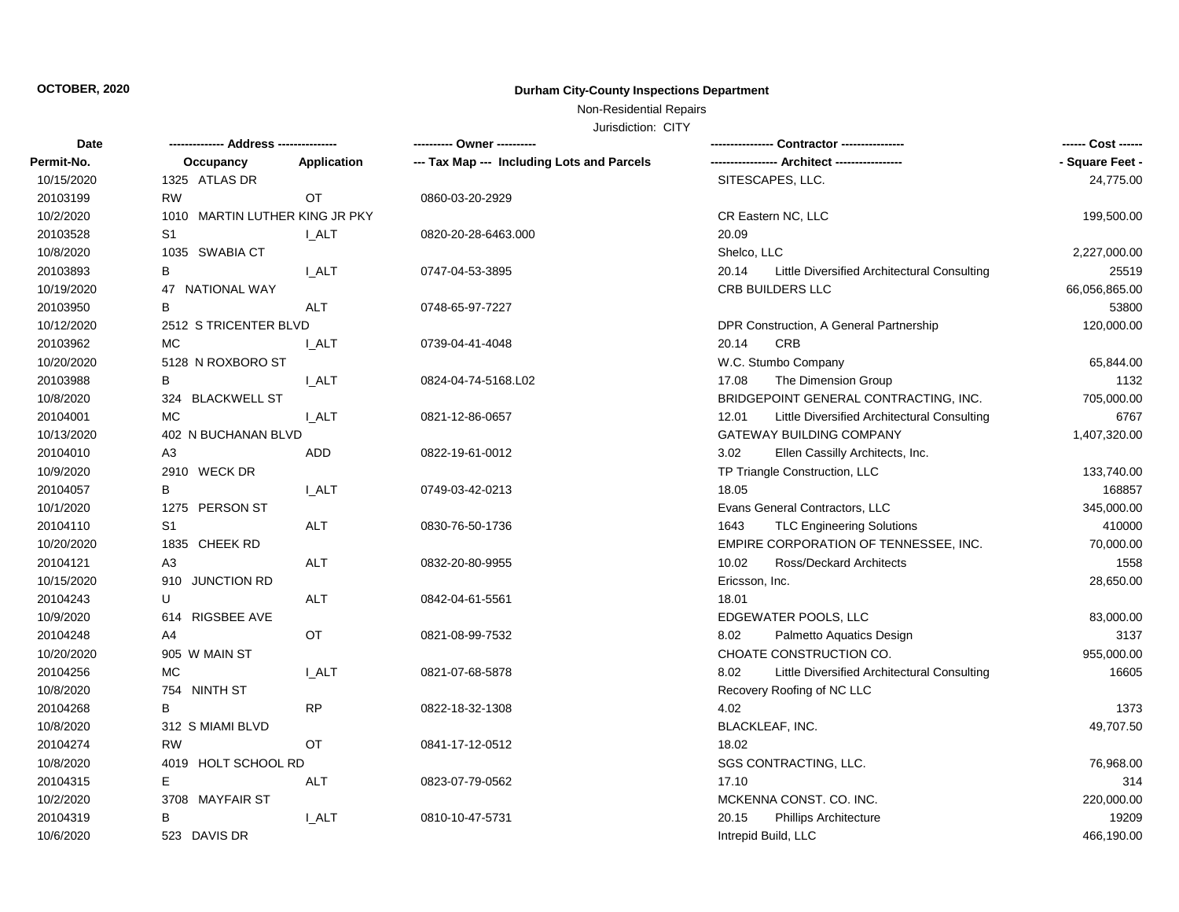# **OCTOBER, 2020 Durham City-County Inspections Department**

Non-Residential Repairs

Jurisdiction: CITY

| Date       |                                |             | ---------- Owner ----------                |                                                      | ------ Cost ------ |
|------------|--------------------------------|-------------|--------------------------------------------|------------------------------------------------------|--------------------|
| Permit-No. | Occupancy                      | Application | --- Tax Map --- Including Lots and Parcels |                                                      | - Square Feet -    |
| 10/15/2020 | 1325 ATLAS DR                  |             |                                            | SITESCAPES, LLC.                                     | 24,775.00          |
| 20103199   | <b>RW</b>                      | <b>OT</b>   | 0860-03-20-2929                            |                                                      |                    |
| 10/2/2020  | 1010 MARTIN LUTHER KING JR PKY |             |                                            | CR Eastern NC, LLC                                   | 199,500.00         |
| 20103528   | S1                             | I_ALT       | 0820-20-28-6463.000                        | 20.09                                                |                    |
| 10/8/2020  | 1035 SWABIA CT                 |             |                                            | Shelco, LLC                                          | 2,227,000.00       |
| 20103893   | В                              | I ALT       | 0747-04-53-3895                            | 20.14<br>Little Diversified Architectural Consulting | 25519              |
| 10/19/2020 | 47 NATIONAL WAY                |             |                                            | CRB BUILDERS LLC                                     | 66,056,865.00      |
| 20103950   | B                              | <b>ALT</b>  | 0748-65-97-7227                            |                                                      | 53800              |
| 10/12/2020 | 2512 S TRICENTER BLVD          |             |                                            | DPR Construction, A General Partnership              | 120,000.00         |
| 20103962   | <b>MC</b>                      | I ALT       | 0739-04-41-4048                            | <b>CRB</b><br>20.14                                  |                    |
| 10/20/2020 | 5128 N ROXBORO ST              |             |                                            | W.C. Stumbo Company                                  | 65,844.00          |
| 20103988   | В                              | <b>LALT</b> | 0824-04-74-5168.L02                        | 17.08<br>The Dimension Group                         | 1132               |
| 10/8/2020  | 324 BLACKWELL ST               |             |                                            | BRIDGEPOINT GENERAL CONTRACTING, INC.                | 705,000.00         |
| 20104001   | MC                             | I ALT       | 0821-12-86-0657                            | Little Diversified Architectural Consulting<br>12.01 | 6767               |
| 10/13/2020 | 402 N BUCHANAN BLVD            |             |                                            | <b>GATEWAY BUILDING COMPANY</b>                      | 1,407,320.00       |
| 20104010   | A3                             | ADD         | 0822-19-61-0012                            | Ellen Cassilly Architects, Inc.<br>3.02              |                    |
| 10/9/2020  | 2910 WECK DR                   |             |                                            | TP Triangle Construction, LLC                        | 133,740.00         |
| 20104057   | B                              | I ALT       | 0749-03-42-0213                            | 18.05                                                | 168857             |
| 10/1/2020  | 1275 PERSON ST                 |             |                                            | Evans General Contractors, LLC                       | 345,000.00         |
| 20104110   | S1                             | ALT         | 0830-76-50-1736                            | <b>TLC Engineering Solutions</b><br>1643             | 410000             |
| 10/20/2020 | 1835 CHEEK RD                  |             |                                            | EMPIRE CORPORATION OF TENNESSEE, INC.                | 70,000.00          |
| 20104121   | A3                             | ALT         | 0832-20-80-9955                            | 10.02<br>Ross/Deckard Architects                     | 1558               |
| 10/15/2020 | 910 JUNCTION RD                |             |                                            | Ericsson, Inc.                                       | 28,650.00          |
| 20104243   | U                              | <b>ALT</b>  | 0842-04-61-5561                            | 18.01                                                |                    |
| 10/9/2020  | 614 RIGSBEE AVE                |             |                                            | EDGEWATER POOLS, LLC                                 | 83,000.00          |
| 20104248   | A4                             | OT          | 0821-08-99-7532                            | 8.02<br>Palmetto Aquatics Design                     | 3137               |
| 10/20/2020 | 905 W MAIN ST                  |             |                                            | CHOATE CONSTRUCTION CO.                              | 955,000.00         |
| 20104256   | MC                             | I ALT       | 0821-07-68-5878                            | 8.02<br>Little Diversified Architectural Consulting  | 16605              |
| 10/8/2020  | 754 NINTH ST                   |             |                                            | Recovery Roofing of NC LLC                           |                    |
| 20104268   | B                              | <b>RP</b>   | 0822-18-32-1308                            | 4.02                                                 | 1373               |
| 10/8/2020  | 312 S MIAMI BLVD               |             |                                            | BLACKLEAF, INC.                                      | 49,707.50          |
| 20104274   | <b>RW</b>                      | <b>OT</b>   | 0841-17-12-0512                            | 18.02                                                |                    |
| 10/8/2020  | 4019 HOLT SCHOOL RD            |             |                                            | SGS CONTRACTING, LLC.                                | 76,968.00          |
| 20104315   | Е                              | ALT         | 0823-07-79-0562                            | 17.10                                                | 314                |
| 10/2/2020  | 3708 MAYFAIR ST                |             |                                            | MCKENNA CONST. CO. INC.                              | 220,000.00         |
| 20104319   | В                              | I ALT       | 0810-10-47-5731                            | 20.15<br><b>Phillips Architecture</b>                | 19209              |
| 10/6/2020  | 523 DAVIS DR                   |             |                                            | Intrepid Build, LLC                                  | 466,190.00         |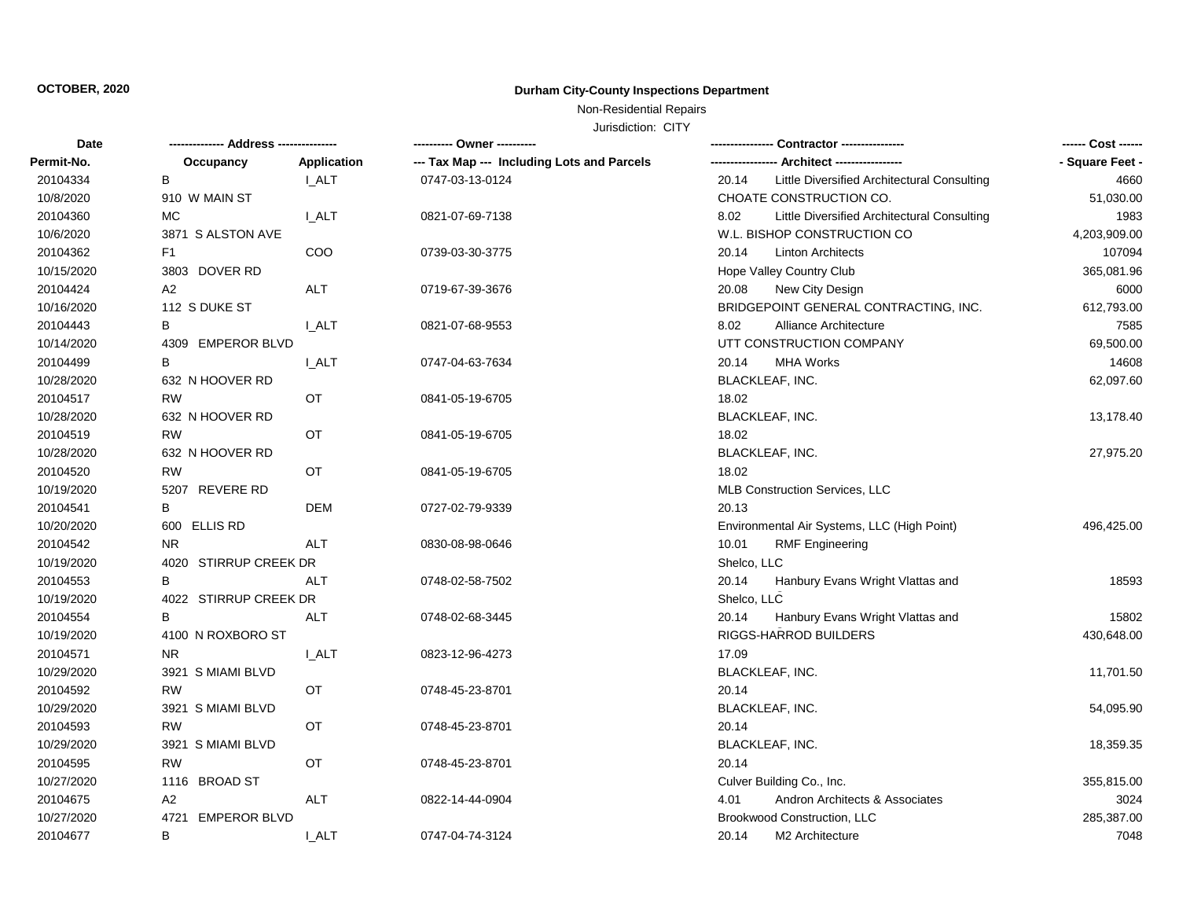# **OCTOBER, 2020 Durham City-County Inspections Department**

Non-Residential Repairs

Jurisdiction: CITY

| Date       |                             |              | ---------- Owner ----------                |                                                      |                 |
|------------|-----------------------------|--------------|--------------------------------------------|------------------------------------------------------|-----------------|
| Permit-No. | Occupancy                   | Application  | --- Tax Map --- Including Lots and Parcels | --- Architect -----------------                      | - Square Feet - |
| 20104334   | B                           | I ALT        | 0747-03-13-0124                            | 20.14<br>Little Diversified Architectural Consulting | 4660            |
| 10/8/2020  | 910 W MAIN ST               |              |                                            | CHOATE CONSTRUCTION CO.                              | 51,030.00       |
| 20104360   | МC                          | <b>I_ALT</b> | 0821-07-69-7138                            | Little Diversified Architectural Consulting<br>8.02  | 1983            |
| 10/6/2020  | 3871 S ALSTON AVE           |              |                                            | W.L. BISHOP CONSTRUCTION CO                          | 4,203,909.00    |
| 20104362   | F <sub>1</sub>              | COO          | 0739-03-30-3775                            | 20.14<br><b>Linton Architects</b>                    | 107094          |
| 10/15/2020 | 3803 DOVER RD               |              |                                            | Hope Valley Country Club                             | 365,081.96      |
| 20104424   | A <sub>2</sub>              | <b>ALT</b>   | 0719-67-39-3676                            | New City Design<br>20.08                             | 6000            |
| 10/16/2020 | 112 S DUKE ST               |              |                                            | BRIDGEPOINT GENERAL CONTRACTING, INC.                | 612,793.00      |
| 20104443   | В                           | <b>LALT</b>  | 0821-07-68-9553                            | 8.02<br><b>Alliance Architecture</b>                 | 7585            |
| 10/14/2020 | 4309 EMPEROR BLVD           |              |                                            | UTT CONSTRUCTION COMPANY                             | 69,500.00       |
| 20104499   | В                           | I_ALT        | 0747-04-63-7634                            | 20.14<br><b>MHA Works</b>                            | 14608           |
| 10/28/2020 | 632 N HOOVER RD             |              |                                            | BLACKLEAF, INC.                                      | 62,097.60       |
| 20104517   | <b>RW</b>                   | OT           | 0841-05-19-6705                            | 18.02                                                |                 |
| 10/28/2020 | 632 N HOOVER RD             |              |                                            | BLACKLEAF, INC.                                      | 13,178.40       |
| 20104519   | <b>RW</b>                   | OT           | 0841-05-19-6705                            | 18.02                                                |                 |
| 10/28/2020 | 632 N HOOVER RD             |              |                                            | BLACKLEAF, INC.                                      | 27,975.20       |
| 20104520   | <b>RW</b>                   | <b>OT</b>    | 0841-05-19-6705                            | 18.02                                                |                 |
| 10/19/2020 | 5207 REVERE RD              |              |                                            | MLB Construction Services, LLC                       |                 |
| 20104541   | В                           | <b>DEM</b>   | 0727-02-79-9339                            | 20.13                                                |                 |
| 10/20/2020 | 600 ELLIS RD                |              |                                            | Environmental Air Systems, LLC (High Point)          | 496,425.00      |
| 20104542   | N <sub>R</sub>              | <b>ALT</b>   | 0830-08-98-0646                            | <b>RMF Engineering</b><br>10.01                      |                 |
| 10/19/2020 | 4020 STIRRUP CREEK DR       |              |                                            | Shelco, LLC                                          |                 |
| 20104553   | В                           | <b>ALT</b>   | 0748-02-58-7502                            | 20.14<br>Hanbury Evans Wright Vlattas and            | 18593           |
| 10/19/2020 | 4022 STIRRUP CREEK DR       |              |                                            | Shelco, LLC                                          |                 |
| 20104554   | В                           | ALT          | 0748-02-68-3445                            | 20.14<br>Hanbury Evans Wright Vlattas and            | 15802           |
| 10/19/2020 | 4100 N ROXBORO ST           |              |                                            | RIGGS-HARROD BUILDERS                                | 430,648.00      |
| 20104571   | <b>NR</b>                   | I ALT        | 0823-12-96-4273                            | 17.09                                                |                 |
| 10/29/2020 | 3921 S MIAMI BLVD           |              |                                            | BLACKLEAF, INC.                                      | 11,701.50       |
| 20104592   | RW                          | OT           | 0748-45-23-8701                            | 20.14                                                |                 |
| 10/29/2020 | 3921 S MIAMI BLVD           |              |                                            | <b>BLACKLEAF, INC.</b>                               | 54,095.90       |
| 20104593   | <b>RW</b>                   | <b>OT</b>    | 0748-45-23-8701                            | 20.14                                                |                 |
| 10/29/2020 | 3921 S MIAMI BLVD           |              |                                            | BLACKLEAF, INC.                                      | 18,359.35       |
| 20104595   | <b>RW</b>                   | OT           | 0748-45-23-8701                            | 20.14                                                |                 |
| 10/27/2020 | 1116 BROAD ST               |              |                                            | Culver Building Co., Inc.                            | 355,815.00      |
| 20104675   | A2                          | <b>ALT</b>   | 0822-14-44-0904                            | 4.01<br>Andron Architects & Associates               | 3024            |
| 10/27/2020 | <b>EMPEROR BLVD</b><br>4721 |              |                                            | Brookwood Construction, LLC                          | 285,387.00      |
| 20104677   | В                           | I ALT        | 0747-04-74-3124                            | 20.14<br>M <sub>2</sub> Architecture                 | 7048            |